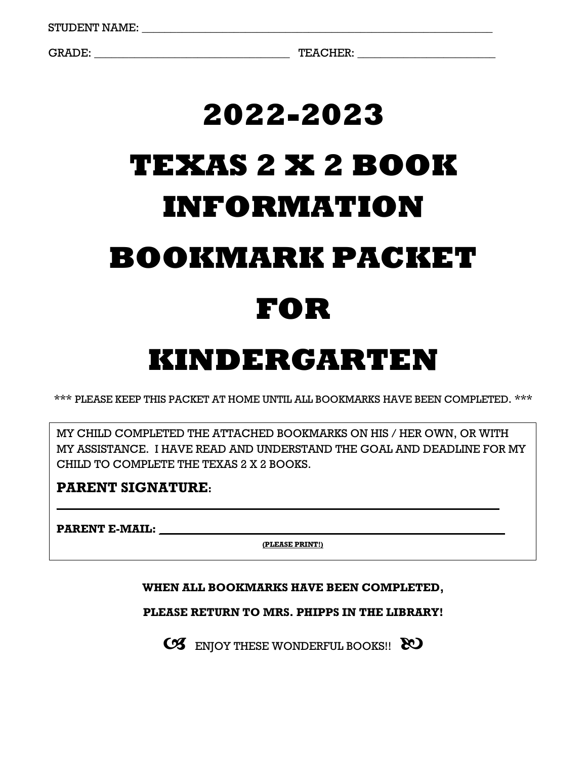GRADE: \_\_\_\_\_\_\_\_\_\_\_\_\_\_\_\_\_\_\_\_\_\_\_\_\_\_\_\_\_\_\_\_\_\_ TEACHER: \_\_\_\_\_\_\_\_\_\_\_\_\_\_\_\_\_\_\_\_\_\_\_\_

# **2022-2023 TEXAS 2 X 2 BOOK INFORMATION BOOKMARK PACKET FOR**

# **KINDERGARTEN**

\*\*\* PLEASE KEEP THIS PACKET AT HOME UNTIL ALL BOOKMARKS HAVE BEEN COMPLETED. \*\*\*

MY CHILD COMPLETED THE ATTACHED BOOKMARKS ON HIS / HER OWN, OR WITH MY ASSISTANCE. I HAVE READ AND UNDERSTAND THE GOAL AND DEADLINE FOR MY CHILD TO COMPLETE THE TEXAS 2 X 2 BOOKS.

#### **PARENT SIGNATURE:**

**PARENT E-MAIL:**

**(PLEASE PRINT!)**

 $\mathcal{L}_\mathcal{L} = \{ \mathcal{L}_\mathcal{L} = \{ \mathcal{L}_\mathcal{L} = \{ \mathcal{L}_\mathcal{L} = \{ \mathcal{L}_\mathcal{L} = \{ \mathcal{L}_\mathcal{L} = \{ \mathcal{L}_\mathcal{L} = \{ \mathcal{L}_\mathcal{L} = \{ \mathcal{L}_\mathcal{L} = \{ \mathcal{L}_\mathcal{L} = \{ \mathcal{L}_\mathcal{L} = \{ \mathcal{L}_\mathcal{L} = \{ \mathcal{L}_\mathcal{L} = \{ \mathcal{L}_\mathcal{L} = \{ \mathcal{L}_\mathcal{$ 

#### **WHEN ALL BOOKMARKS HAVE BEEN COMPLETED,**

**PLEASE RETURN TO MRS. PHIPPS IN THE LIBRARY!**

CS ENJOY THESE WONDERFUL BOOKS!! &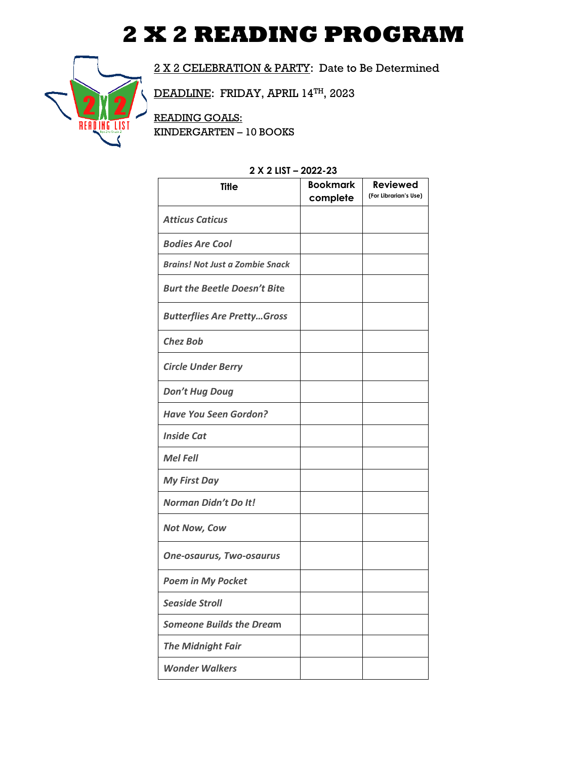# **2 X 2 READING PROGRAM**



2 X 2 CELEBRATION & PARTY: Date to Be Determined

DEADLINE: FRIDAY, APRIL 14 TH, 2023

READING GOALS: KINDERGARTEN – 10 BOOKS

| 2 A Z LIJI -                           | 2UZZ-ZJ                     |                                          |
|----------------------------------------|-----------------------------|------------------------------------------|
| <b>Title</b>                           | <b>Bookmark</b><br>complete | <b>Reviewed</b><br>(For Librarian's Use) |
| <b>Atticus Caticus</b>                 |                             |                                          |
| <b>Bodies Are Cool</b>                 |                             |                                          |
| <b>Brains! Not Just a Zombie Snack</b> |                             |                                          |
| <b>Burt the Beetle Doesn't Bite</b>    |                             |                                          |
| <b>Butterflies Are PrettyGross</b>     |                             |                                          |
| <b>Chez Bob</b>                        |                             |                                          |
| <b>Circle Under Berry</b>              |                             |                                          |
| <b>Don't Hug Doug</b>                  |                             |                                          |
| <b>Have You Seen Gordon?</b>           |                             |                                          |
| <b>Inside Cat</b>                      |                             |                                          |
| <b>Mel Fell</b>                        |                             |                                          |
| <b>My First Day</b>                    |                             |                                          |
| <b>Norman Didn't Do It!</b>            |                             |                                          |
| <b>Not Now, Cow</b>                    |                             |                                          |
| <b>One-osaurus, Two-osaurus</b>        |                             |                                          |
| <b>Poem in My Pocket</b>               |                             |                                          |
| <b>Seaside Stroll</b>                  |                             |                                          |
| <b>Someone Builds the Dream</b>        |                             |                                          |
| <b>The Midnight Fair</b>               |                             |                                          |
| <b>Wonder Walkers</b>                  |                             |                                          |

#### **2 X 2 LIST – 2022-23**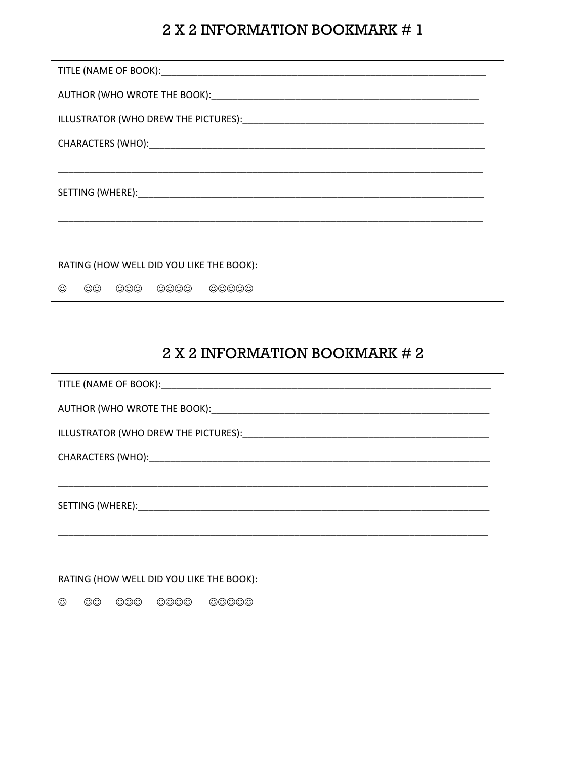## 2 X 2 INFORMATION BOOKMARK # 1

| RATING (HOW WELL DID YOU LIKE THE BOOK): |  |  |  |  |  |  |  |
|------------------------------------------|--|--|--|--|--|--|--|
| 000 0000 00000<br>⊙<br>$\odot\odot$      |  |  |  |  |  |  |  |

| RATING (HOW WELL DID YOU LIKE THE BOOK): |  |  |  |  |  |  |  |
|------------------------------------------|--|--|--|--|--|--|--|
| 000 0000<br>⊙<br>$\odot\odot$<br>00000   |  |  |  |  |  |  |  |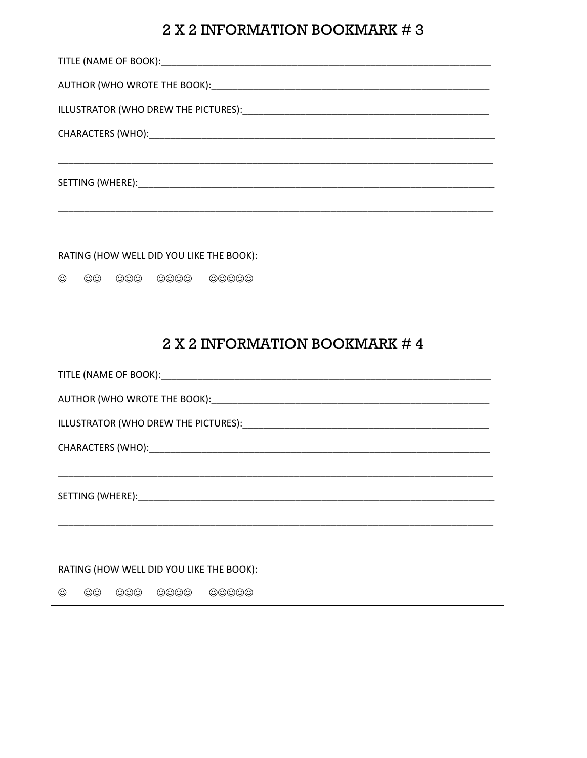## 2 X 2 INFORMATION BOOKMARK  $\#$  3

| RATING (HOW WELL DID YOU LIKE THE BOOK): |                                                 |                          |  |  |  |  |  |  |
|------------------------------------------|-------------------------------------------------|--------------------------|--|--|--|--|--|--|
| ☺☺<br>⊙                                  | $\circledcirc\circledcirc$<br>$\odot$ o $\odot$ | $\circledcirc\circ\circ$ |  |  |  |  |  |  |

| RATING (HOW WELL DID YOU LIKE THE BOOK): |  |  |  |  |  |  |  |
|------------------------------------------|--|--|--|--|--|--|--|
| 000 0000<br>⊙<br>$\odot\odot$<br>00000   |  |  |  |  |  |  |  |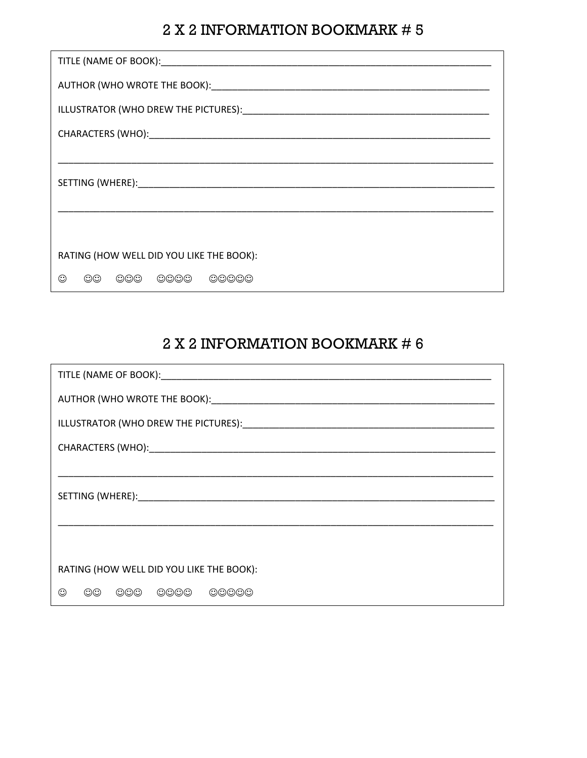## 2 X 2 INFORMATION BOOKMARK  $\# 5$

| RATING (HOW WELL DID YOU LIKE THE BOOK): |                   |                            |                                 |  |  |  |  |  |
|------------------------------------------|-------------------|----------------------------|---------------------------------|--|--|--|--|--|
| $\odot\odot$<br>☺                        | $\odot\odot\odot$ | $\circledcirc\circledcirc$ | $\odot$ $\odot$ $\odot$ $\odot$ |  |  |  |  |  |

| RATING (HOW WELL DID YOU LIKE THE BOOK): |  |  |  |  |  |  |  |
|------------------------------------------|--|--|--|--|--|--|--|
| 000 0000<br>⊙<br>$\odot\odot$<br>00000   |  |  |  |  |  |  |  |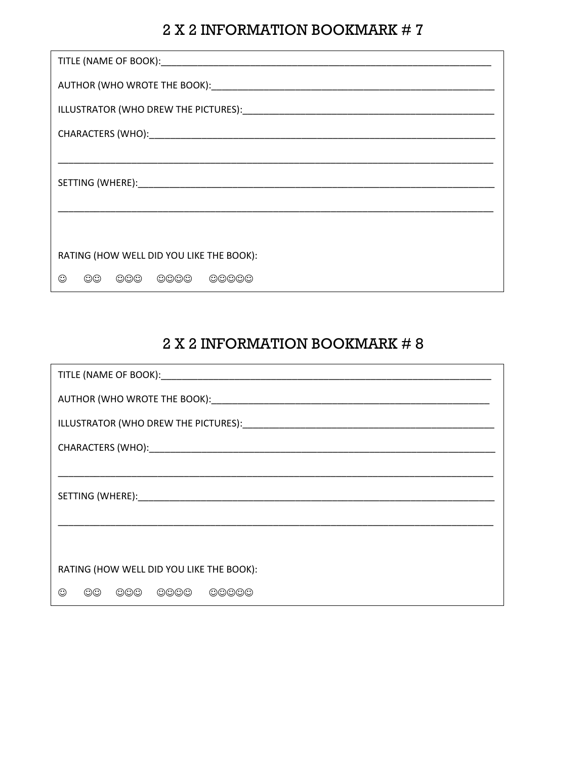## 2 X 2 INFORMATION BOOKMARK #  $7$

| RATING (HOW WELL DID YOU LIKE THE BOOK): |                     |                            |       |  |  |  |  |  |
|------------------------------------------|---------------------|----------------------------|-------|--|--|--|--|--|
| ⊙<br>$\odot$ $\odot$                     | $\circledcirc\circ$ | $\circledcirc\circledcirc$ | ාාාාය |  |  |  |  |  |

| RATING (HOW WELL DID YOU LIKE THE BOOK):                                |  |  |  |  |  |  |  |
|-------------------------------------------------------------------------|--|--|--|--|--|--|--|
| $\odot\odot\odot$<br>⊙<br>$\odot$ $\odot$<br>$\odot$ o $\odot$<br>00000 |  |  |  |  |  |  |  |